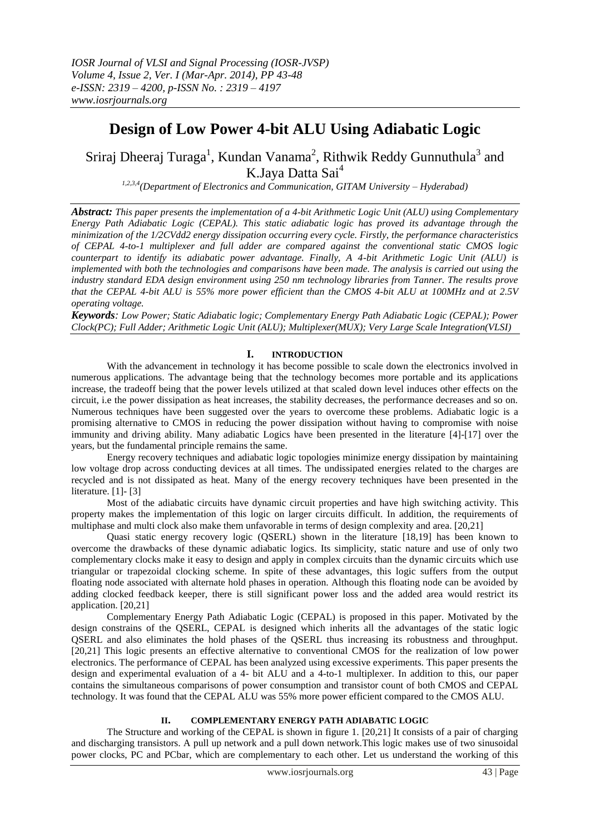# **Design of Low Power 4-bit ALU Using Adiabatic Logic**

Sriraj Dheeraj Turaga<sup>1</sup>, Kundan Vanama<sup>2</sup>, Rithwik Reddy Gunnuthula<sup>3</sup> and K.Jaya Datta Sai<sup>4</sup>

*1,2,3,4(Department of Electronics and Communication, GITAM University – Hyderabad)*

*Abstract: This paper presents the implementation of a 4-bit Arithmetic Logic Unit (ALU) using Complementary Energy Path Adiabatic Logic (CEPAL). This static adiabatic logic has proved its advantage through the minimization of the 1/2CVdd2 energy dissipation occurring every cycle. Firstly, the performance characteristics of CEPAL 4-to-1 multiplexer and full adder are compared against the conventional static CMOS logic counterpart to identify its adiabatic power advantage. Finally, A 4-bit Arithmetic Logic Unit (ALU) is implemented with both the technologies and comparisons have been made. The analysis is carried out using the industry standard EDA design environment using 250 nm technology libraries from Tanner. The results prove that the CEPAL 4-bit ALU is 55% more power efficient than the CMOS 4-bit ALU at 100MHz and at 2.5V operating voltage.*

*Keywords: Low Power; Static Adiabatic logic; Complementary Energy Path Adiabatic Logic (CEPAL); Power Clock(PC); Full Adder; Arithmetic Logic Unit (ALU); Multiplexer(MUX); Very Large Scale Integration(VLSI)*

# **I. INTRODUCTION**

With the advancement in technology it has become possible to scale down the electronics involved in numerous applications. The advantage being that the technology becomes more portable and its applications increase, the tradeoff being that the power levels utilized at that scaled down level induces other effects on the circuit, i.e the power dissipation as heat increases, the stability decreases, the performance decreases and so on. Numerous techniques have been suggested over the years to overcome these problems. Adiabatic logic is a promising alternative to CMOS in reducing the power dissipation without having to compromise with noise immunity and driving ability. Many adiabatic Logics have been presented in the literature [4]-[17] over the years, but the fundamental principle remains the same.

Energy recovery techniques and adiabatic logic topologies minimize energy dissipation by maintaining low voltage drop across conducting devices at all times. The undissipated energies related to the charges are recycled and is not dissipated as heat. Many of the energy recovery techniques have been presented in the literature. [1]- [3]

Most of the adiabatic circuits have dynamic circuit properties and have high switching activity. This property makes the implementation of this logic on larger circuits difficult. In addition, the requirements of multiphase and multi clock also make them unfavorable in terms of design complexity and area. [20,21]

Quasi static energy recovery logic (QSERL) shown in the literature [18,19] has been known to overcome the drawbacks of these dynamic adiabatic logics. Its simplicity, static nature and use of only two complementary clocks make it easy to design and apply in complex circuits than the dynamic circuits which use triangular or trapezoidal clocking scheme. In spite of these advantages, this logic suffers from the output floating node associated with alternate hold phases in operation. Although this floating node can be avoided by adding clocked feedback keeper, there is still significant power loss and the added area would restrict its application. [20,21]

Complementary Energy Path Adiabatic Logic (CEPAL) is proposed in this paper. Motivated by the design constrains of the QSERL, CEPAL is designed which inherits all the advantages of the static logic QSERL and also eliminates the hold phases of the QSERL thus increasing its robustness and throughput. [20,21] This logic presents an effective alternative to conventional CMOS for the realization of low power electronics. The performance of CEPAL has been analyzed using excessive experiments. This paper presents the design and experimental evaluation of a 4- bit ALU and a 4-to-1 multiplexer. In addition to this, our paper contains the simultaneous comparisons of power consumption and transistor count of both CMOS and CEPAL technology. It was found that the CEPAL ALU was 55% more power efficient compared to the CMOS ALU.

## **II. COMPLEMENTARY ENERGY PATH ADIABATIC LOGIC**

The Structure and working of the CEPAL is shown in figure 1. [20,21] It consists of a pair of charging and discharging transistors. A pull up network and a pull down network.This logic makes use of two sinusoidal power clocks, PC and PCbar, which are complementary to each other. Let us understand the working of this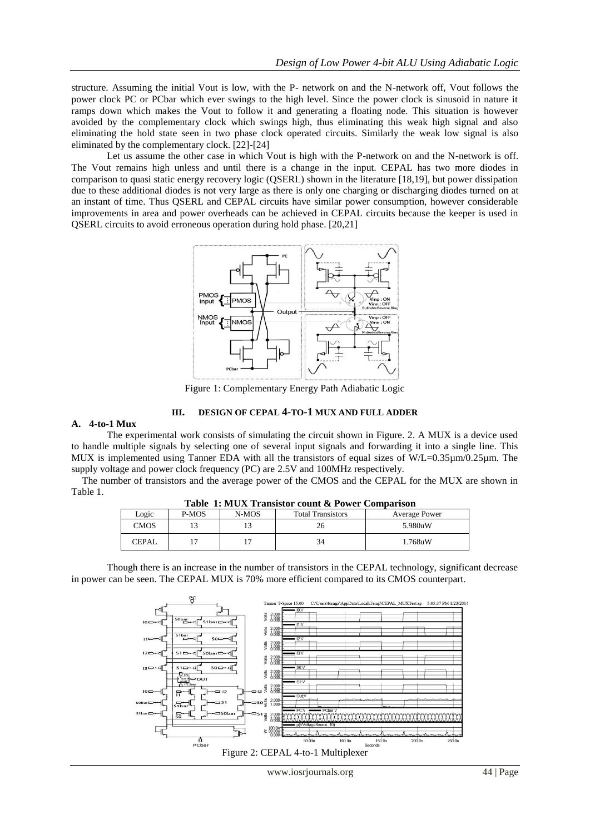structure. Assuming the initial Vout is low, with the P- network on and the N-network off, Vout follows the power clock PC or PCbar which ever swings to the high level. Since the power clock is sinusoid in nature it ramps down which makes the Vout to follow it and generating a floating node. This situation is however avoided by the complementary clock which swings high, thus eliminating this weak high signal and also eliminating the hold state seen in two phase clock operated circuits. Similarly the weak low signal is also eliminated by the complementary clock. [22]-[24]

Let us assume the other case in which Vout is high with the P-network on and the N-network is off. The Vout remains high unless and until there is a change in the input. CEPAL has two more diodes in comparison to quasi static energy recovery logic (QSERL) shown in the literature [18,19], but power dissipation due to these additional diodes is not very large as there is only one charging or discharging diodes turned on at an instant of time. Thus QSERL and CEPAL circuits have similar power consumption, however considerable improvements in area and power overheads can be achieved in CEPAL circuits because the keeper is used in QSERL circuits to avoid erroneous operation during hold phase. [20,21]



Figure 1: Complementary Energy Path Adiabatic Logic

#### **III. DESIGN OF CEPAL 4-TO-1 MUX AND FULL ADDER**

#### **A. 4-to-1 Mux**

The experimental work consists of simulating the circuit shown in Figure. 2. A MUX is a device used to handle multiple signals by selecting one of several input signals and forwarding it into a single line. This MUX is implemented using Tanner EDA with all the transistors of equal sizes of W/L=0.35µm/0.25µm. The supply voltage and power clock frequency (PC) are 2.5V and 100MHz respectively.

The number of transistors and the average power of the CMOS and the CEPAL for the MUX are shown in Table 1.

| Tuble Trillers Trubboot count of Fower Computibus |       |       |                          |               |  |  |  |  |
|---------------------------------------------------|-------|-------|--------------------------|---------------|--|--|--|--|
| Logic                                             | P-MOS | N-MOS | <b>Total Transistors</b> | Average Power |  |  |  |  |
| <b>CMOS</b>                                       |       |       |                          | 5.980uW       |  |  |  |  |
| <b>CEPAL</b>                                      |       |       | 34                       | 1.768uW       |  |  |  |  |

**Table 1: MUX Transistor count & Power Comparison**

Though there is an increase in the number of transistors in the CEPAL technology, significant decrease in power can be seen. The CEPAL MUX is 70% more efficient compared to its CMOS counterpart.

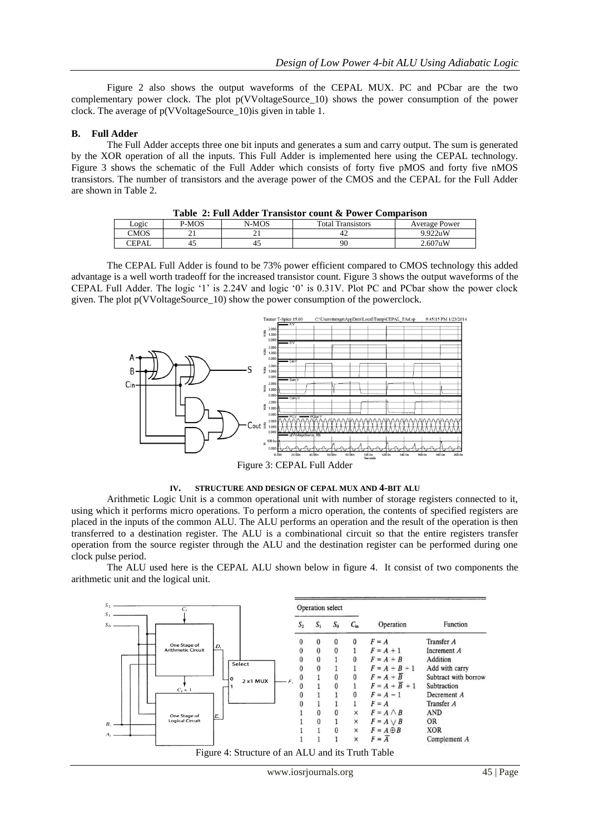Figure 2 also shows the output waveforms of the CEPAL MUX. PC and PCbar are the two complementary power clock. The plot p(VVoltageSource\_10) shows the power consumption of the power clock. The average of p(VVoltageSource\_10)is given in table 1.

## **B. Full Adder**

The Full Adder accepts three one bit inputs and generates a sum and carry output. The sum is generated by the XOR operation of all the inputs. This Full Adder is implemented here using the CEPAL technology. Figure 3 shows the schematic of the Full Adder which consists of forty five pMOS and forty five nMOS transistors. The number of transistors and the average power of the CMOS and the CEPAL for the Full Adder are shown in Table 2.

| Table 2: Full Adder Transistor count & Power Comparison |       |       |                          |                      |  |  |  |
|---------------------------------------------------------|-------|-------|--------------------------|----------------------|--|--|--|
| Logic                                                   | P-MOS | N-MOS | <b>Total Transistors</b> | <b>Average Power</b> |  |  |  |
| CMOS                                                    |       |       |                          | 9.922uW              |  |  |  |
| CEPAL                                                   | 45    |       | 90                       | $2.607$ uW           |  |  |  |

**Table 2: Full Adder Transistor count & Power Comparison**

The CEPAL Full Adder is found to be 73% power efficient compared to CMOS technology this added advantage is a well worth tradeoff for the increased transistor count. Figure 3 shows the output waveforms of the CEPAL Full Adder. The logic "1" is 2.24V and logic "0" is 0.31V. Plot PC and PCbar show the power clock given. The plot p(VVoltageSource\_10) show the power consumption of the powerclock.



**IV. STRUCTURE AND DESIGN OF CEPAL MUX AND 4-BIT ALU**

Arithmetic Logic Unit is a common operational unit with number of storage registers connected to it, using which it performs micro operations. To perform a micro operation, the contents of specified registers are placed in the inputs of the common ALU. The ALU performs an operation and the result of the operation is then transferred to a destination register. The ALU is a combinational circuit so that the entire registers transfer operation from the source register through the ALU and the destination register can be performed during one clock pulse period.

The ALU used here is the CEPAL ALU shown below in figure 4. It consist of two components the arithmetic unit and the logical unit.

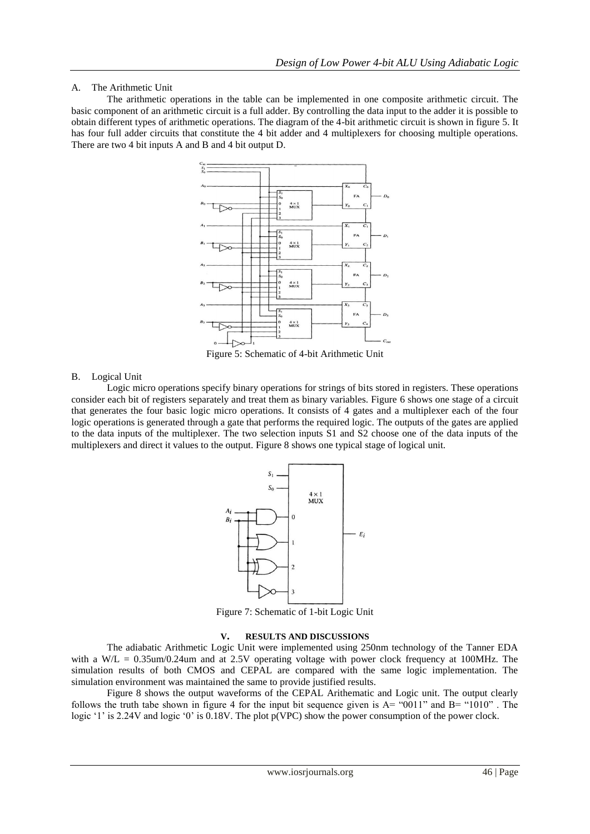## A. The Arithmetic Unit

The arithmetic operations in the table can be implemented in one composite arithmetic circuit. The basic component of an arithmetic circuit is a full adder. By controlling the data input to the adder it is possible to obtain different types of arithmetic operations. The diagram of the 4-bit arithmetic circuit is shown in figure 5. It has four full adder circuits that constitute the 4 bit adder and 4 multiplexers for choosing multiple operations. There are two 4 bit inputs A and B and 4 bit output D.



Figure 5: Schematic of 4-bit Arithmetic Unit

## B. Logical Unit

Logic micro operations specify binary operations for strings of bits stored in registers. These operations consider each bit of registers separately and treat them as binary variables. Figure 6 shows one stage of a circuit that generates the four basic logic micro operations. It consists of 4 gates and a multiplexer each of the four logic operations is generated through a gate that performs the required logic. The outputs of the gates are applied to the data inputs of the multiplexer. The two selection inputs S1 and S2 choose one of the data inputs of the multiplexers and direct it values to the output. Figure 8 shows one typical stage of logical unit.



Figure 7: Schematic of 1-bit Logic Unit

#### **V. RESULTS AND DISCUSSIONS**

The adiabatic Arithmetic Logic Unit were implemented using 250nm technology of the Tanner EDA with a W/L =  $0.35$ um/0.24um and at 2.5V operating voltage with power clock frequency at 100MHz. The simulation results of both CMOS and CEPAL are compared with the same logic implementation. The simulation environment was maintained the same to provide justified results.

 Figure 8 shows the output waveforms of the CEPAL Arithematic and Logic unit. The output clearly follows the truth tabe shown in figure 4 for the input bit sequence given is  $A = "0011"$  and  $B = "1010"$ . The logic '1' is 2.24V and logic '0' is 0.18V. The plot  $p(VPC)$  show the power consumption of the power clock.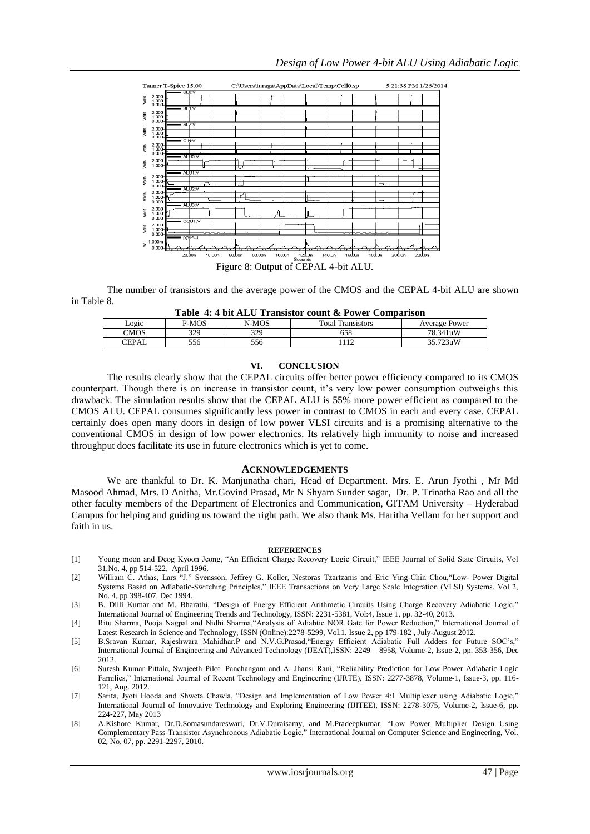

The number of transistors and the average power of the CMOS and the CEPAL 4-bit ALU are shown in Table 8.

| Table 4: 4 bit ALU Transistor count & Power Comparison |
|--------------------------------------------------------|
|--------------------------------------------------------|

| Logic | P-MOS | N-MOS | Total Tr.<br><i><u>l'ansistors</u></i> | Average Power |
|-------|-------|-------|----------------------------------------|---------------|
| CMOS  | 329   | 329   | 658                                    | 78.341uW      |
| CEPAL | 556   | 556   | 110                                    | 35.723uW      |

#### **VI. CONCLUSION**

The results clearly show that the CEPAL circuits offer better power efficiency compared to its CMOS counterpart. Though there is an increase in transistor count, it"s very low power consumption outweighs this drawback. The simulation results show that the CEPAL ALU is 55% more power efficient as compared to the CMOS ALU. CEPAL consumes significantly less power in contrast to CMOS in each and every case. CEPAL certainly does open many doors in design of low power VLSI circuits and is a promising alternative to the conventional CMOS in design of low power electronics. Its relatively high immunity to noise and increased throughput does facilitate its use in future electronics which is yet to come.

#### **ACKNOWLEDGEMENTS**

We are thankful to Dr. K. Manjunatha chari, Head of Department. Mrs. E. Arun Jyothi , Mr Md Masood Ahmad, Mrs. D Anitha, Mr.Govind Prasad, Mr N Shyam Sunder sagar, Dr. P. Trinatha Rao and all the other faculty members of the Department of Electronics and Communication, GITAM University – Hyderabad Campus for helping and guiding us toward the right path. We also thank Ms. Haritha Vellam for her support and faith in us.

#### **REFERENCES**

- [1] Young moon and Deog Kyoon Jeong, "An Efficient Charge Recovery Logic Circuit," IEEE Journal of Solid State Circuits, Vol 31,No. 4, pp 514-522, April 1996.
- [2] William C. Athas, Lars "J." Svensson, Jeffrey G. Koller, Nestoras Tzartzanis and Eric Ying-Chin Chou,"Low- Power Digital Systems Based on Adiabatic-Switching Principles," IEEE Transactions on Very Large Scale Integration (VLSI) Systems, Vol 2, No. 4, pp 398-407, Dec 1994.
- [3] B. Dilli Kumar and M. Bharathi, "Design of Energy Efficient Arithmetic Circuits Using Charge Recovery Adiabatic Logic," International Journal of Engineering Trends and Technology, ISSN: 2231-5381, Vol:4, Issue 1, pp. 32-40, 2013.
- [4] Ritu Sharma, Pooja Nagpal and Nidhi Sharma,"Analysis of Adiabtic NOR Gate for Power Reduction," International Journal of Latest Research in Science and Technology, ISSN (Online):2278-5299, Vol.1, Issue 2, pp 179-182 , July-August 2012.
- [5] B.Sravan Kumar, Rajeshwara Mahidhar.P and N.V.G.Prasad,"Energy Efficient Adiabatic Full Adders for Future SOC"s," International Journal of Engineering and Advanced Technology (IJEAT),ISSN: 2249 – 8958, Volume-2, Issue-2, pp. 353-356, Dec 2012.
- [6] Suresh Kumar Pittala, Swajeeth Pilot. Panchangam and A. Jhansi Rani, "Reliability Prediction for Low Power Adiabatic Logic Families," International Journal of Recent Technology and Engineering (IJRTE), ISSN: 2277-3878, Volume-1, Issue-3, pp. 116- 121, Aug. 2012.
- [7] Sarita, Jyoti Hooda and Shweta Chawla, "Design and Implementation of Low Power 4:1 Multiplexer using Adiabatic Logic," International Journal of Innovative Technology and Exploring Engineering (IJITEE), ISSN: 2278-3075, Volume-2, Issue-6, pp. 224-227, May 2013
- [8] A.Kishore Kumar, Dr.D.Somasundareswari, Dr.V.Duraisamy, and M.Pradeepkumar, "Low Power Multiplier Design Using Complementary Pass-Transistor Asynchronous Adiabatic Logic," International Journal on Computer Science and Engineering, Vol. 02, No. 07, pp. 2291-2297, 2010.